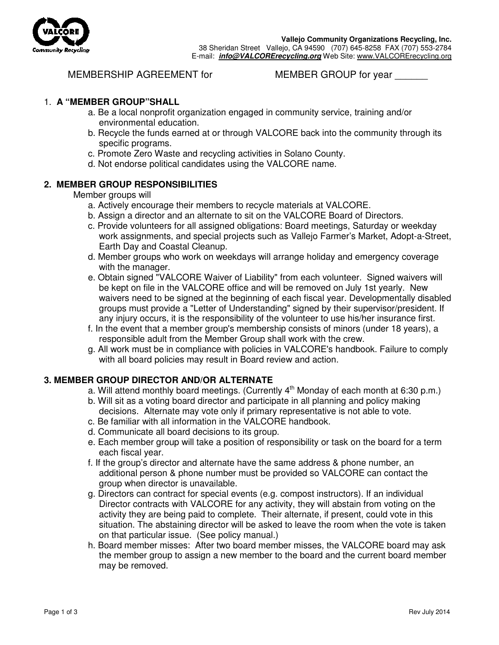

**Vallejo Community Organizations Recycling, Inc.**  38 Sheridan Street Vallejo, CA 94590 (707) 645-8258 FAX (707) 553-2784 E-mail: **info@VALCORErecycling.org** Web Site: www.VALCORErecycling.org

# MEMBERSHIP AGREEMENT for MEMBER GROUP for year

# 1. **A "MEMBER GROUP"SHALL**

- a. Be a local nonprofit organization engaged in community service, training and/or environmental education.
- b. Recycle the funds earned at or through VALCORE back into the community through its specific programs.
- c. Promote Zero Waste and recycling activities in Solano County.
- d. Not endorse political candidates using the VALCORE name.

# **2. MEMBER GROUP RESPONSIBILITIES**

### Member groups will

- a. Actively encourage their members to recycle materials at VALCORE.
- b. Assign a director and an alternate to sit on the VALCORE Board of Directors.
- c. Provide volunteers for all assigned obligations: Board meetings, Saturday or weekday work assignments, and special projects such as Vallejo Farmer's Market, Adopt-a-Street, Earth Day and Coastal Cleanup.
- d. Member groups who work on weekdays will arrange holiday and emergency coverage with the manager.
- e. Obtain signed "VALCORE Waiver of Liability" from each volunteer. Signed waivers will be kept on file in the VALCORE office and will be removed on July 1st yearly. New waivers need to be signed at the beginning of each fiscal year. Developmentally disabled groups must provide a "Letter of Understanding" signed by their supervisor/president. If any injury occurs, it is the responsibility of the volunteer to use his/her insurance first.
- f. In the event that a member group's membership consists of minors (under 18 years), a responsible adult from the Member Group shall work with the crew.
- g. All work must be in compliance with policies in VALCORE's handbook. Failure to comply with all board policies may result in Board review and action.

## **3. MEMBER GROUP DIRECTOR AND/OR ALTERNATE**

- a. Will attend monthly board meetings. (Currently  $4<sup>th</sup>$  Monday of each month at 6:30 p.m.)
- b. Will sit as a voting board director and participate in all planning and policy making decisions. Alternate may vote only if primary representative is not able to vote.
- c. Be familiar with all information in the VALCORE handbook.
- d. Communicate all board decisions to its group.
- e. Each member group will take a position of responsibility or task on the board for a term each fiscal year.
- f. If the group's director and alternate have the same address & phone number, an additional person & phone number must be provided so VALCORE can contact the group when director is unavailable.
- g. Directors can contract for special events (e.g. compost instructors). If an individual Director contracts with VALCORE for any activity, they will abstain from voting on the activity they are being paid to complete. Their alternate, if present, could vote in this situation. The abstaining director will be asked to leave the room when the vote is taken on that particular issue. (See policy manual.)
- h. Board member misses: After two board member misses, the VALCORE board may ask the member group to assign a new member to the board and the current board member may be removed.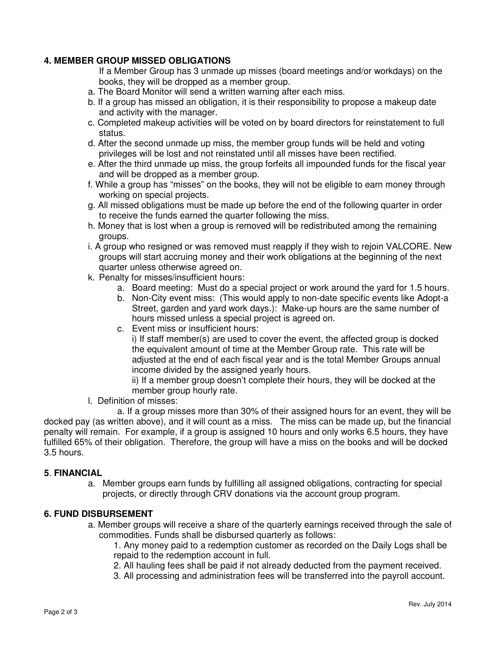# **4. MEMBER GROUP MISSED OBLIGATIONS**

If a Member Group has 3 unmade up misses (board meetings and/or workdays) on the books, they will be dropped as a member group.

- a. The Board Monitor will send a written warning after each miss.
- b. If a group has missed an obligation, it is their responsibility to propose a makeup date and activity with the manager.
- c. Completed makeup activities will be voted on by board directors for reinstatement to full status.
- d. After the second unmade up miss, the member group funds will be held and voting privileges will be lost and not reinstated until all misses have been rectified.
- e. After the third unmade up miss, the group forfeits all impounded funds for the fiscal year and will be dropped as a member group.
- f. While a group has "misses" on the books, they will not be eligible to earn money through working on special projects.
- g. All missed obligations must be made up before the end of the following quarter in order to receive the funds earned the quarter following the miss.
- h. Money that is lost when a group is removed will be redistributed among the remaining groups.
- i. A group who resigned or was removed must reapply if they wish to rejoin VALCORE. New groups will start accruing money and their work obligations at the beginning of the next quarter unless otherwise agreed on.
- k. Penalty for misses/insufficient hours:
	- a. Board meeting: Must do a special project or work around the yard for 1.5 hours.
	- b. Non-City event miss: (This would apply to non-date specific events like Adopt-a Street, garden and yard work days.): Make-up hours are the same number of hours missed unless a special project is agreed on.
	- c. Event miss or insufficient hours:

i) If staff member(s) are used to cover the event, the affected group is docked the equivalent amount of time at the Member Group rate. This rate will be adjusted at the end of each fiscal year and is the total Member Groups annual income divided by the assigned yearly hours.

ii) If a member group doesn't complete their hours, they will be docked at the member group hourly rate.

l. Definition of misses:

 a. If a group misses more than 30% of their assigned hours for an event, they will be docked pay (as written above), and it will count as a miss. The miss can be made up, but the financial penalty will remain. For example, if a group is assigned 10 hours and only works 6.5 hours, they have fulfilled 65% of their obligation. Therefore, the group will have a miss on the books and will be docked 3.5 hours.

## **5**. **FINANCIAL**

a. Member groups earn funds by fulfilling all assigned obligations, contracting for special projects, or directly through CRV donations via the account group program.

## **6. FUND DISBURSEMENT**

a. Member groups will receive a share of the quarterly earnings received through the sale of commodities. Funds shall be disbursed quarterly as follows:

1. Any money paid to a redemption customer as recorded on the Daily Logs shall be repaid to the redemption account in full.

- 2. All hauling fees shall be paid if not already deducted from the payment received.
- 3. All processing and administration fees will be transferred into the payroll account.